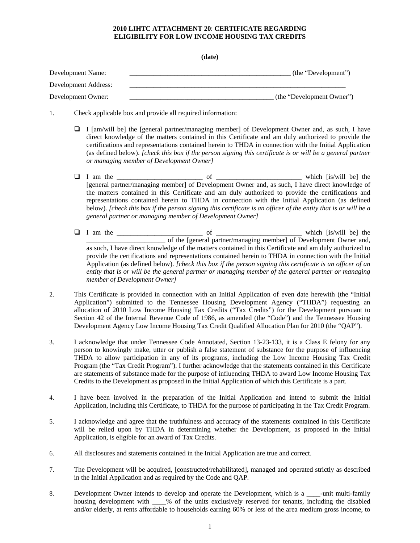## **2010 LIHTC ATTACHMENT 20**: **CERTIFICATE REGARDING ELIGIBILITY FOR LOW INCOME HOUSING TAX CREDITS**

**(date)**

| Development Name:    | (the "Development")       |
|----------------------|---------------------------|
| Development Address: |                           |
| Development Owner:   | (the "Development Owner") |

- 1. Check applicable box and provide all required information:
	- $\Box$  I [am/will be] the [general partner/managing member] of Development Owner and, as such, I have direct knowledge of the matters contained in this Certificate and am duly authorized to provide the certifications and representations contained herein to THDA in connection with the Initial Application (as defined below). *[check this box if the person signing this certificate is or will be a general partner or managing member of Development Owner]*
	- I am the \_\_\_\_\_\_\_\_\_\_\_\_\_\_\_\_\_\_\_\_\_\_\_\_\_ of \_\_\_\_\_\_\_\_\_\_\_\_\_\_\_\_\_\_\_\_\_\_\_\_\_ which [is/will be] the [general partner/managing member] of Development Owner and, as such, I have direct knowledge of the matters contained in this Certificate and am duly authorized to provide the certifications and representations contained herein to THDA in connection with the Initial Application (as defined below). *[check this box if the person signing this certificate is an officer of the entity that is or will be a general partner or managing member of Development Owner]*
	- I am the \_\_\_\_\_\_\_\_\_\_\_\_\_\_\_\_\_\_\_\_\_\_\_\_\_ of \_\_\_\_\_\_\_\_\_\_\_\_\_\_\_\_\_\_\_\_\_\_\_\_\_ which [is/will be] the \_\_\_\_\_\_\_\_\_\_\_\_\_\_\_\_\_\_\_\_\_\_\_ of the [general partner/managing member] of Development Owner and, as such, I have direct knowledge of the matters contained in this Certificate and am duly authorized to provide the certifications and representations contained herein to THDA in connection with the Initial Application (as defined below). *[check this box if the person signing this certificate is an officer of an entity that is or will be the general partner or managing member of the general partner or managing member of Development Owner]*
- 2. This Certificate is provided in connection with an Initial Application of even date herewith (the "Initial Application") submitted to the Tennessee Housing Development Agency ("THDA") requesting an allocation of 2010 Low Income Housing Tax Credits ("Tax Credits") for the Development pursuant to Section 42 of the Internal Revenue Code of 1986, as amended (the "Code") and the Tennessee Housing Development Agency Low Income Housing Tax Credit Qualified Allocation Plan for 2010 (the "QAP").
- 3. I acknowledge that under Tennessee Code Annotated, Section 13-23-133, it is a Class E felony for any person to knowingly make, utter or publish a false statement of substance for the purpose of influencing THDA to allow participation in any of its programs, including the Low Income Housing Tax Credit Program (the "Tax Credit Program"). I further acknowledge that the statements contained in this Certificate are statements of substance made for the purpose of influencing THDA to award Low Income Housing Tax Credits to the Development as proposed in the Initial Application of which this Certificate is a part.
- 4. I have been involved in the preparation of the Initial Application and intend to submit the Initial Application, including this Certificate, to THDA for the purpose of participating in the Tax Credit Program.
- 5. I acknowledge and agree that the truthfulness and accuracy of the statements contained in this Certificate will be relied upon by THDA in determining whether the Development, as proposed in the Initial Application, is eligible for an award of Tax Credits.
- 6. All disclosures and statements contained in the Initial Application are true and correct.
- 7. The Development will be acquired, [constructed/rehabilitated], managed and operated strictly as described in the Initial Application and as required by the Code and QAP.
- 8. Development Owner intends to develop and operate the Development, which is a \_\_\_\_-unit multi-family housing development with \_\_\_\_% of the units exclusively reserved for tenants, including the disabled and/or elderly, at rents affordable to households earning 60% or less of the area medium gross income, to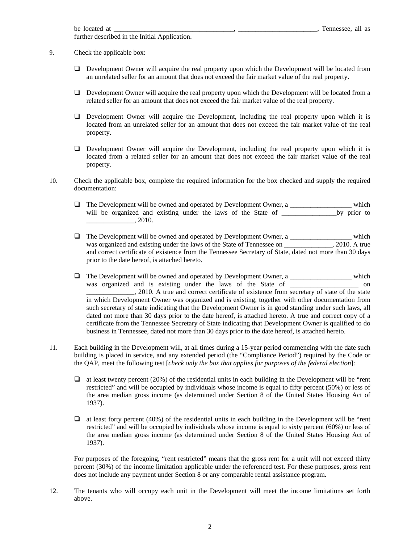further described in the Initial Application.

9. Check the applicable box:

- Development Owner will acquire the real property upon which the Development will be located from an unrelated seller for an amount that does not exceed the fair market value of the real property.
- Development Owner will acquire the real property upon which the Development will be located from a related seller for an amount that does not exceed the fair market value of the real property.
- Development Owner will acquire the Development, including the real property upon which it is located from an unrelated seller for an amount that does not exceed the fair market value of the real property.
- Development Owner will acquire the Development, including the real property upon which it is located from a related seller for an amount that does not exceed the fair market value of the real property.
- 10. Check the applicable box, complete the required information for the box checked and supply the required documentation:
	- The Development will be owned and operated by Development Owner, a \_\_\_\_\_\_\_\_\_\_\_\_\_\_\_\_\_\_ which will be organized and existing under the laws of the State of \_\_\_\_\_\_\_\_\_\_\_\_\_\_\_\_\_\_\_by prior to  $, 2010.$
	- $\Box$  The Development will be owned and operated by Development Owner, a \_\_\_\_\_\_\_\_\_\_\_\_\_\_\_\_\_\_\_\_\_\_\_ which was organized and existing under the laws of the State of Tennessee on \_\_\_\_\_\_\_\_\_\_\_\_, 2010. A true and correct certificate of existence from the Tennessee Secretary of State, dated not more than 30 days prior to the date hereof, is attached hereto.
	- $\Box$  The Development will be owned and operated by Development Owner, a \_\_\_\_\_\_\_\_\_\_\_\_\_\_\_\_\_\_\_\_\_\_\_ which was organized and is existing under the laws of the State of \_\_\_\_\_\_\_\_\_\_\_\_\_\_\_\_\_\_\_\_ on 2010. A true and correct certificate of existence from secretary of state of the state in which Development Owner was organized and is existing, together with other documentation from such secretary of state indicating that the Development Owner is in good standing under such laws, all dated not more than 30 days prior to the date hereof, is attached hereto. A true and correct copy of a certificate from the Tennessee Secretary of State indicating that Development Owner is qualified to do business in Tennessee, dated not more than 30 days prior to the date hereof, is attached hereto.
- 11. Each building in the Development will, at all times during a 15-year period commencing with the date such building is placed in service, and any extended period (the "Compliance Period") required by the Code or the QAP, meet the following test [*check only the box that applies for purposes of the federal election*]:
	- $\Box$  at least twenty percent (20%) of the residential units in each building in the Development will be "rent restricted" and will be occupied by individuals whose income is equal to fifty percent (50%) or less of the area median gross income (as determined under Section 8 of the United States Housing Act of 1937).
	- $\Box$  at least forty percent (40%) of the residential units in each building in the Development will be "rent restricted" and will be occupied by individuals whose income is equal to sixty percent (60%) or less of the area median gross income (as determined under Section 8 of the United States Housing Act of 1937).

For purposes of the foregoing, "rent restricted" means that the gross rent for a unit will not exceed thirty percent (30%) of the income limitation applicable under the referenced test. For these purposes, gross rent does not include any payment under Section 8 or any comparable rental assistance program.

12. The tenants who will occupy each unit in the Development will meet the income limitations set forth above.